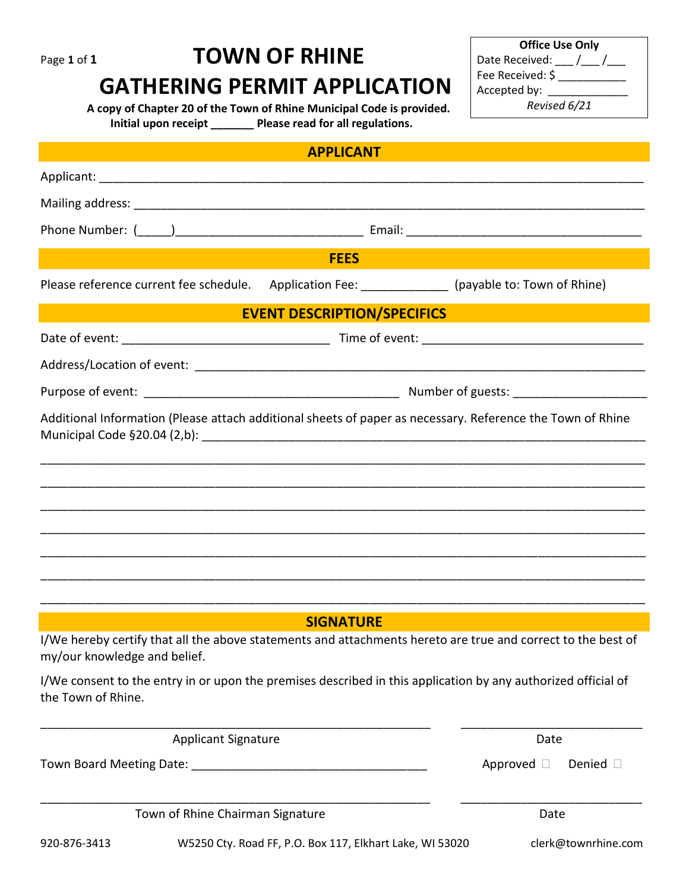# Page 1 of 1 **TOWN OF RHINE**

## **GATHERING PERMIT APPLICATION**

 **A copy of Chapter 20 of the Town of Rhine Municipal Code is provided. Initial upon receipt \_\_\_\_\_\_\_ Please read for all regulations.**

| <b>APPLICANT</b>                                                                                                                             |                                    |  |                    |                  |  |
|----------------------------------------------------------------------------------------------------------------------------------------------|------------------------------------|--|--------------------|------------------|--|
|                                                                                                                                              |                                    |  |                    |                  |  |
|                                                                                                                                              |                                    |  |                    |                  |  |
|                                                                                                                                              |                                    |  |                    |                  |  |
| <b>FEES</b>                                                                                                                                  |                                    |  |                    |                  |  |
| Please reference current fee schedule. Application Fee: (payable to: Town of Rhine)                                                          |                                    |  |                    |                  |  |
|                                                                                                                                              | <b>EVENT DESCRIPTION/SPECIFICS</b> |  |                    |                  |  |
|                                                                                                                                              |                                    |  |                    |                  |  |
|                                                                                                                                              |                                    |  |                    |                  |  |
|                                                                                                                                              |                                    |  |                    |                  |  |
| Additional Information (Please attach additional sheets of paper as necessary. Reference the Town of Rhine                                   |                                    |  |                    |                  |  |
|                                                                                                                                              |                                    |  |                    |                  |  |
|                                                                                                                                              |                                    |  |                    |                  |  |
|                                                                                                                                              |                                    |  |                    |                  |  |
|                                                                                                                                              |                                    |  |                    |                  |  |
|                                                                                                                                              |                                    |  |                    |                  |  |
|                                                                                                                                              |                                    |  |                    |                  |  |
| <b>SIGNATURE</b>                                                                                                                             |                                    |  |                    |                  |  |
| I/We hereby certify that all the above statements and attachments hereto are true and correct to the best of<br>my/our knowledge and belief. |                                    |  |                    |                  |  |
| I/We consent to the entry in or upon the premises described in this application by any authorized official of<br>the Town of Rhine.          |                                    |  |                    |                  |  |
| <b>Applicant Signature</b>                                                                                                                   |                                    |  | Date               |                  |  |
|                                                                                                                                              |                                    |  | Approved $\square$ | Denied $\square$ |  |
| Town of Rhine Chairman Signature                                                                                                             |                                    |  | Date               |                  |  |

920-876-3413 W5250 Cty. Road FF, P.O. Box 117, Elkhart Lake, WI 53020 clerk@townrhine.com

**Office Use Only** Date Received: \_\_\_ /\_\_\_ /\_\_\_ Fee Received: \$ \_\_\_\_\_\_\_\_\_\_\_ Accepted by: \_\_\_\_\_\_\_\_\_\_\_\_\_\_\_ *Revised 6/21*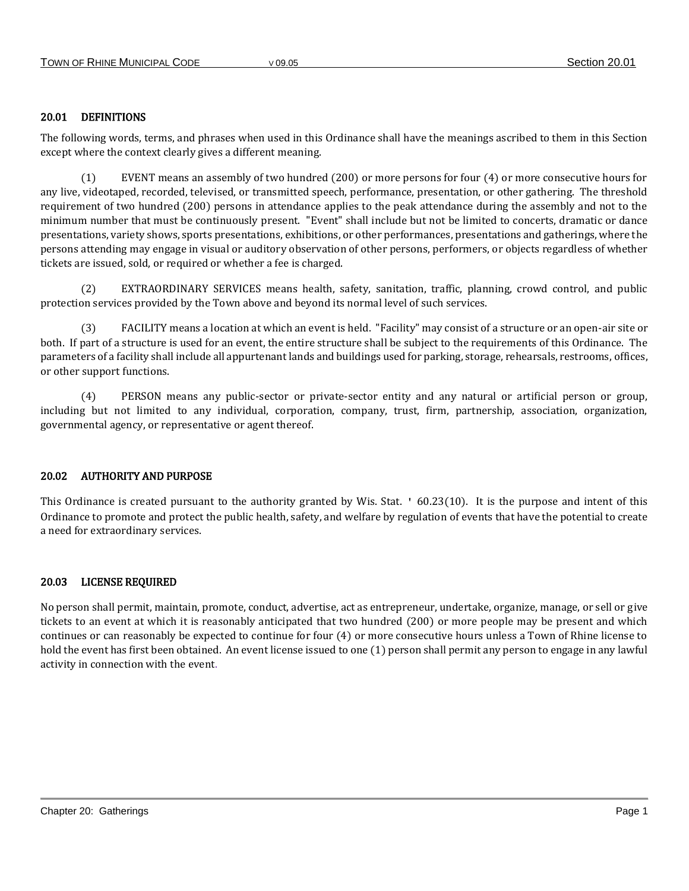## 20.01 DEFINITIONS

The following words, terms, and phrases when used in this Ordinance shall have the meanings ascribed to them in this Section except where the context clearly gives a different meaning.

(1) EVENT means an assembly of two hundred (200) or more persons for four (4) or more consecutive hours for any live, videotaped, recorded, televised, or transmitted speech, performance, presentation, or other gathering. The threshold requirement of two hundred (200) persons in attendance applies to the peak attendance during the assembly and not to the minimum number that must be continuously present. "Event" shall include but not be limited to concerts, dramatic or dance presentations, variety shows, sports presentations, exhibitions, or other performances, presentations and gatherings, where the persons attending may engage in visual or auditory observation of other persons, performers, or objects regardless of whether tickets are issued, sold, or required or whether a fee is charged.

(2) EXTRAORDINARY SERVICES means health, safety, sanitation, traffic, planning, crowd control, and public protection services provided by the Town above and beyond its normal level of such services.

FACILITY means a location at which an event is held. "Facility" may consist of a structure or an open-air site or both. If part of a structure is used for an event, the entire structure shall be subject to the requirements of this Ordinance. The parameters of a facility shall include all appurtenant lands and buildings used for parking, storage, rehearsals, restrooms, offices, or other support functions.

(4) PERSON means any public-sector or private-sector entity and any natural or artificial person or group, including but not limited to any individual, corporation, company, trust, firm, partnership, association, organization, governmental agency, or representative or agent thereof.

## 20.02 AUTHORITY AND PURPOSE

This Ordinance is created pursuant to the authority granted by Wis. Stat. ' 60.23(10). It is the purpose and intent of this Ordinance to promote and protect the public health, safety, and welfare by regulation of events that have the potential to create a need for extraordinary services.

## 20.03 LICENSE REQUIRED

No person shall permit, maintain, promote, conduct, advertise, act as entrepreneur, undertake, organize, manage, or sell or give tickets to an event at which it is reasonably anticipated that two hundred (200) or more people may be present and which continues or can reasonably be expected to continue for four (4) or more consecutive hours unless a Town of Rhine license to hold the event has first been obtained. An event license issued to one (1) person shall permit any person to engage in any lawful activity in connection with the event.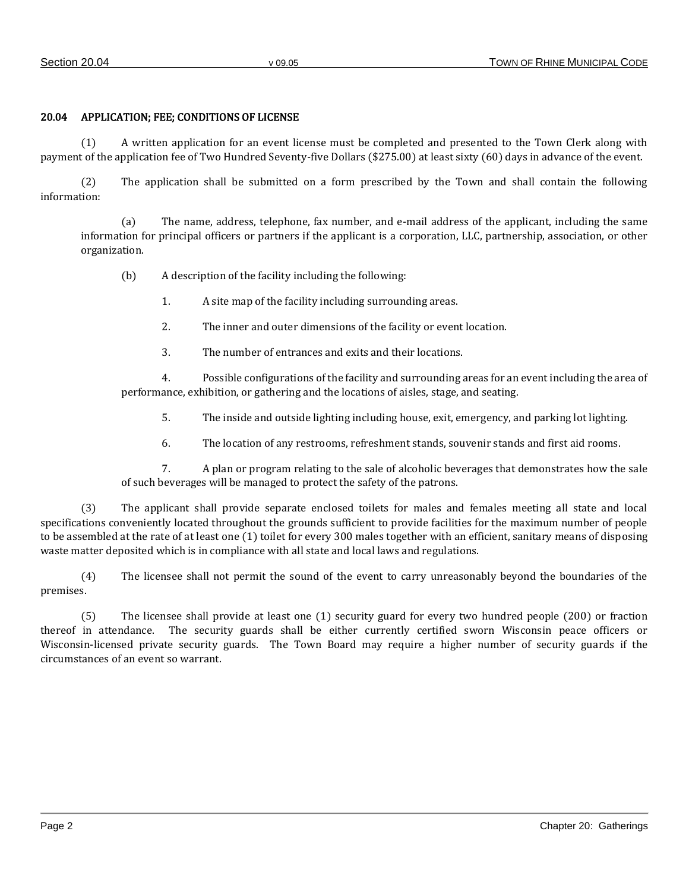## 20.04 APPLICATION; FEE; CONDITIONS OF LICENSE

(1) A written application for an event license must be completed and presented to the Town Clerk along with payment of the application fee of Two Hundred Seventy-five Dollars (\$275.00) at least sixty (60) days in advance of the event.

(2) The application shall be submitted on a form prescribed by the Town and shall contain the following information:

(a) The name, address, telephone, fax number, and e-mail address of the applicant, including the same information for principal officers or partners if the applicant is a corporation, LLC, partnership, association, or other organization.

(b) A description of the facility including the following:

1. A site map of the facility including surrounding areas.

2. The inner and outer dimensions of the facility or event location.

3. The number of entrances and exits and their locations.

4. Possible configurations of the facility and surrounding areas for an event including the area of performance, exhibition, or gathering and the locations of aisles, stage, and seating.

5. The inside and outside lighting including house, exit, emergency, and parking lot lighting.

6. The location of any restrooms, refreshment stands, souvenir stands and first aid rooms.

7. A plan or program relating to the sale of alcoholic beverages that demonstrates how the sale of such beverages will be managed to protect the safety of the patrons.

(3) The applicant shall provide separate enclosed toilets for males and females meeting all state and local specifications conveniently located throughout the grounds sufficient to provide facilities for the maximum number of people to be assembled at the rate of at least one (1) toilet for every 300 males together with an efficient, sanitary means of disposing waste matter deposited which is in compliance with all state and local laws and regulations.

(4) The licensee shall not permit the sound of the event to carry unreasonably beyond the boundaries of the premises.

(5) The licensee shall provide at least one (1) security guard for every two hundred people (200) or fraction thereof in attendance. The security guards shall be either currently certified sworn Wisconsin peace officers or Wisconsin-licensed private security guards. The Town Board may require a higher number of security guards if the circumstances of an event so warrant.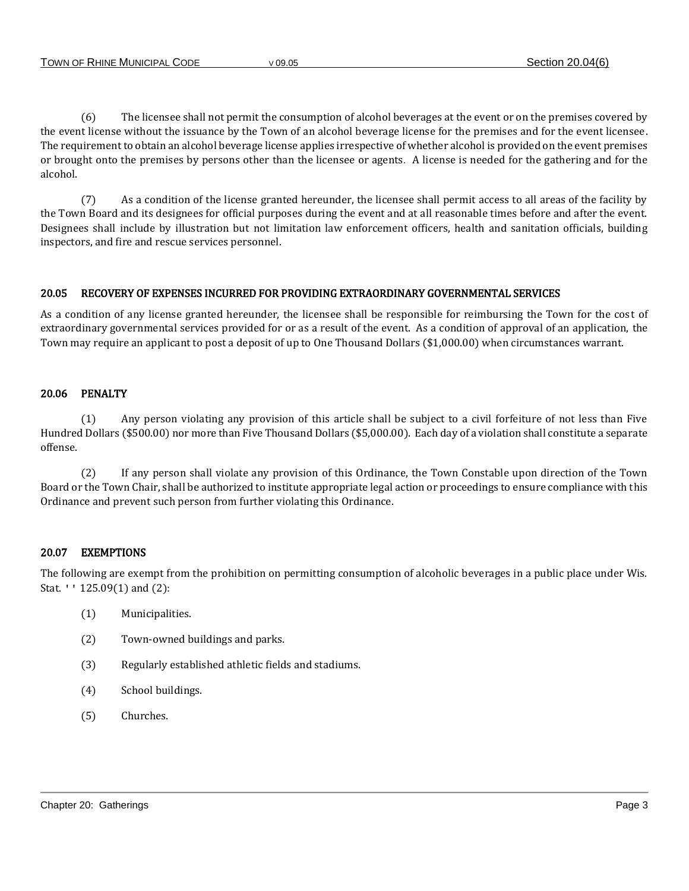(6) The licensee shall not permit the consumption of alcohol beverages at the event or on the premises covered by the event license without the issuance by the Town of an alcohol beverage license for the premises and for the event licensee. The requirement to obtain an alcohol beverage license applies irrespective of whether alcohol is provided on the event premises or brought onto the premises by persons other than the licensee or agents. A license is needed for the gathering and for the alcohol.

(7) As a condition of the license granted hereunder, the licensee shall permit access to all areas of the facility by the Town Board and its designees for official purposes during the event and at all reasonable times before and after the event. Designees shall include by illustration but not limitation law enforcement officers, health and sanitation officials, building inspectors, and fire and rescue services personnel.

## 20.05 RECOVERY OF EXPENSES INCURRED FOR PROVIDING EXTRAORDINARY GOVERNMENTAL SERVICES

As a condition of any license granted hereunder, the licensee shall be responsible for reimbursing the Town for the cost of extraordinary governmental services provided for or as a result of the event. As a condition of approval of an application, the Town may require an applicant to post a deposit of up to One Thousand Dollars (\$1,000.00) when circumstances warrant.

## 20.06 PENALTY

(1) Any person violating any provision of this article shall be subject to a civil forfeiture of not less than Five Hundred Dollars (\$500.00) nor more than Five Thousand Dollars (\$5,000.00). Each day of a violation shall constitute a separate offense.

(2) If any person shall violate any provision of this Ordinance, the Town Constable upon direction of the Town Board or the Town Chair, shall be authorized to institute appropriate legal action or proceedings to ensure compliance with this Ordinance and prevent such person from further violating this Ordinance.

## 20.07 EXEMPTIONS

The following are exempt from the prohibition on permitting consumption of alcoholic beverages in a public place under Wis. Stat. '' 125.09(1) and (2):

- (1) Municipalities.
- (2) Town-owned buildings and parks.
- (3) Regularly established athletic fields and stadiums.
- (4) School buildings.
- (5) Churches.